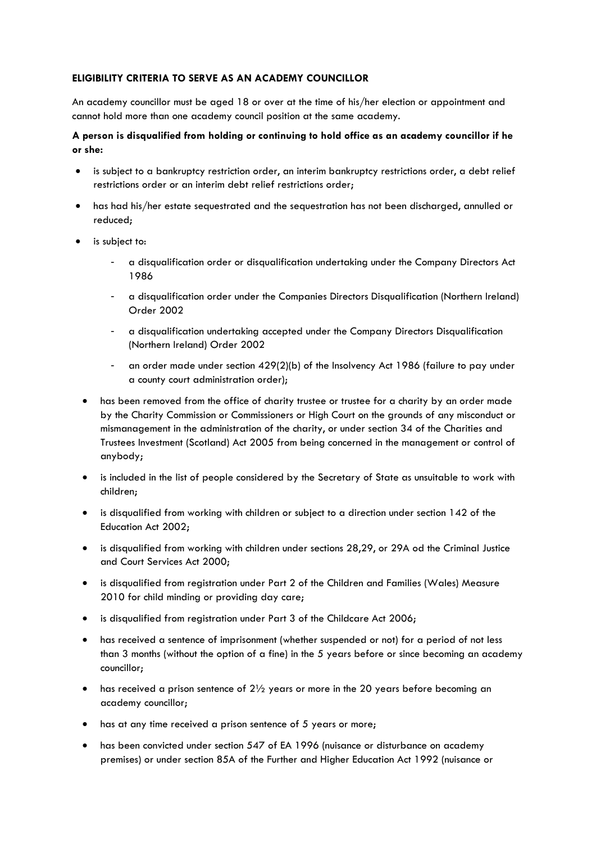# **ELIGIBILITY CRITERIA TO SERVE AS AN ACADEMY COUNCILLOR**

An academy councillor must be aged 18 or over at the time of his/her election or appointment and cannot hold more than one academy council position at the same academy.

## **A person is disqualified from holding or continuing to hold office as an academy councillor if he or she:**

- is subject to a bankruptcy restriction order, an interim bankruptcy restrictions order, a debt relief restrictions order or an interim debt relief restrictions order;
- has had his/her estate sequestrated and the sequestration has not been discharged, annulled or reduced;
- is subject to:
	- a disqualification order or disqualification undertaking under the Company Directors Act 1986
	- a disqualification order under the Companies Directors Disqualification (Northern Ireland) Order 2002
	- a disqualification undertaking accepted under the Company Directors Disqualification (Northern Ireland) Order 2002
	- an order made under section 429(2)(b) of the Insolvency Act 1986 (failure to pay under a county court administration order);
	- has been removed from the office of charity trustee or trustee for a charity by an order made by the Charity Commission or Commissioners or High Court on the grounds of any misconduct or mismanagement in the administration of the charity, or under section 34 of the Charities and Trustees Investment (Scotland) Act 2005 from being concerned in the management or control of anybody;
	- is included in the list of people considered by the Secretary of State as unsuitable to work with children;
	- is disqualified from working with children or subject to a direction under section 142 of the Education Act 2002;
	- is disqualified from working with children under sections 28,29, or 29A od the Criminal Justice and Court Services Act 2000;
	- is disqualified from registration under Part 2 of the Children and Families (Wales) Measure 2010 for child minding or providing day care;
	- is disqualified from registration under Part 3 of the Childcare Act 2006;
	- has received a sentence of imprisonment (whether suspended or not) for a period of not less than 3 months (without the option of a fine) in the 5 years before or since becoming an academy councillor;
	- has received a prison sentence of 2½ years or more in the 20 years before becoming an academy councillor;
	- has at any time received a prison sentence of 5 years or more;
	- has been convicted under section 547 of EA 1996 (nuisance or disturbance on academy premises) or under section 85A of the Further and Higher Education Act 1992 (nuisance or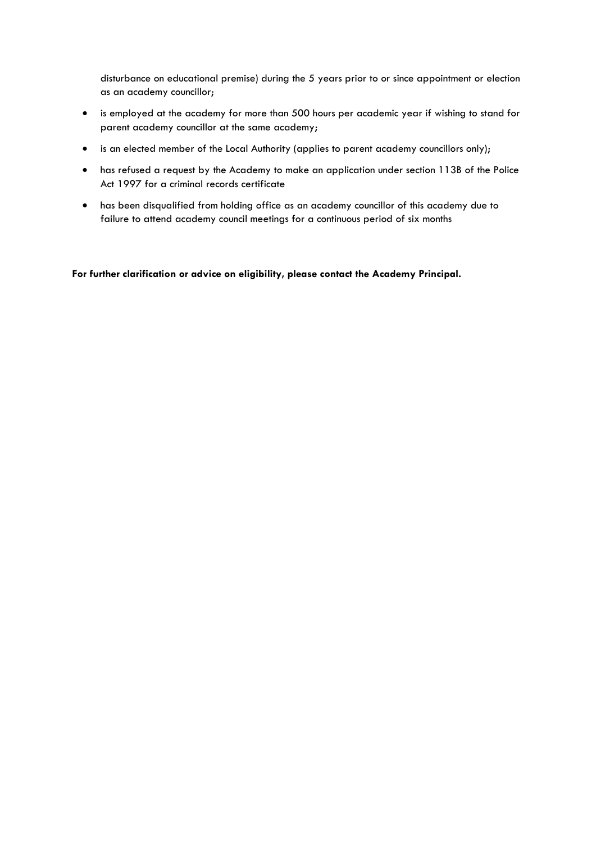disturbance on educational premise) during the 5 years prior to or since appointment or election as an academy councillor;

- is employed at the academy for more than 500 hours per academic year if wishing to stand for parent academy councillor at the same academy;
- is an elected member of the Local Authority (applies to parent academy councillors only);
- has refused a request by the Academy to make an application under section 113B of the Police Act 1997 for a criminal records certificate
- has been disqualified from holding office as an academy councillor of this academy due to failure to attend academy council meetings for a continuous period of six months

**For further clarification or advice on eligibility, please contact the Academy Principal.**